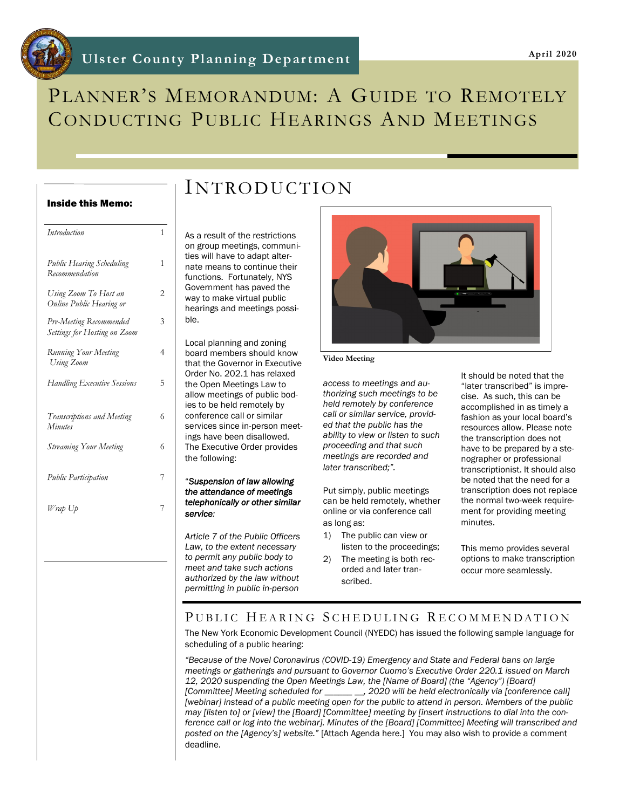# PLANNER'S MEMORANDUM: A GUIDE TO REMOTELY CONDUCTING PUBLIC HEARINGS AND MEETINGS

## Inside this Memo:

| Introduction                                            | 1              |
|---------------------------------------------------------|----------------|
| Public Hearing Scheduling<br>Recommendation             | 1              |
| Using Zoom To Host an<br>Online Public Hearing or       | $\overline{c}$ |
| Pre-Meeting Recommended<br>Settings for Hosting on Zoom | 3              |
| Running Your Meeting<br>Using Zoom                      | 4              |
| <b>Handling Executive Sessions</b>                      | 5              |
| Transcriptions and Meeting<br><b>Minutes</b>            | 6              |
| <b>Streaming Your Meeting</b>                           | 6              |
| <b>Public Participation</b>                             | 7              |
| Wrap Up                                                 | 7              |
|                                                         |                |

As a result of the restrictions on group meetings, communities will have to adapt alternate means to continue their functions. Fortunately, NYS Government has paved the way to make virtual public hearings and meetings possible.

INTRODUCTION

Local planning and zoning board members should know that the Governor in Executive Order No. 202.1 has relaxed the Open Meetings Law to allow meetings of public bodies to be held remotely by conference call or similar services since in-person meetings have been disallowed. The Executive Order provides the following:

#### "*Suspension of law allowing the attendance of meetings telephonically or other similar service:*

*Article 7 of the Public Officers Law, to the extent necessary to permit any public body to meet and take such actions authorized by the law without permitting in public in-person* 



#### **Video Meeting**

*access to meetings and authorizing such meetings to be held remotely by conference call or similar service, provided that the public has the ability to view or listen to such proceeding and that such meetings are recorded and later transcribed;".*

Put simply, public meetings can be held remotely, whether online or via conference call as long as:

- 1) The public can view or listen to the proceedings;
- 2) The meeting is both recorded and later transcribed.

It should be noted that the "later transcribed" is imprecise. As such, this can be accomplished in as timely a fashion as your local board's resources allow. Please note the transcription does not have to be prepared by a stenographer or professional transcriptionist. It should also be noted that the need for a transcription does not replace the normal two-week requirement for providing meeting minutes.

This memo provides several options to make transcription occur more seamlessly.

## PUBLIC HEARING SCHEDULING RECOMMENDATION

The New York Economic Development Council (NYEDC) has issued the following sample language for scheduling of a public hearing:

*"Because of the Novel Coronavirus (COVID-19) Emergency and State and Federal bans on large meetings or gatherings and pursuant to Governor Cuomo's Executive Order 220.1 issued on March 12, 2020 suspending the Open Meetings Law, the [Name of Board] (the "Agency") [Board] [Committee] Meeting scheduled for \_\_\_\_\_\_ \_\_, 2020 will be held electronically via [conference call] [webinar] instead of a public meeting open for the public to attend in person. Members of the public may [listen to] or [view] the [Board] [Committee] meeting by [insert instructions to dial into the conference call or log into the webinar]. Minutes of the [Board] [Committee] Meeting will transcribed and posted on the [Agency's] website."* [Attach Agenda here.] You may also wish to provide a comment deadline.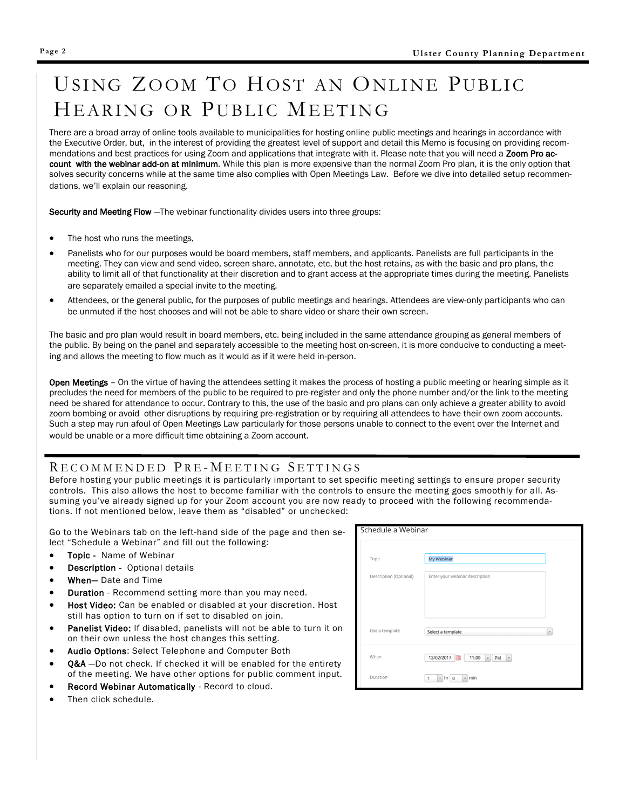# USING ZOOM TO HOST AN ONLINE PUBLIC HEARING OR PUBLIC MEETING

There are a broad array of online tools available to municipalities for hosting online public meetings and hearings in accordance with the Executive Order, but, in the interest of providing the greatest level of support and detail this Memo is focusing on providing recommendations and best practices for using Zoom and applications that integrate with it. Please note that you will need a Zoom Pro account with the webinar add-on at minimum. While this plan is more expensive than the normal Zoom Pro plan, it is the only option that solves security concerns while at the same time also complies with Open Meetings Law. Before we dive into detailed setup recommendations, we'll explain our reasoning.

Security and Meeting Flow —The webinar functionality divides users into three groups:

- The host who runs the meetings,
- Panelists who for our purposes would be board members, staff members, and applicants. Panelists are full participants in the meeting. They can view and send video, screen share, annotate, etc, but the host retains, as with the basic and pro plans, the ability to limit all of that functionality at their discretion and to grant access at the appropriate times during the meeting. Panelists are separately emailed a special invite to the meeting.
- Attendees, or the general public, for the purposes of public meetings and hearings. Attendees are view-only participants who can be unmuted if the host chooses and will not be able to share video or share their own screen.

The basic and pro plan would result in board members, etc. being included in the same attendance grouping as general members of the public. By being on the panel and separately accessible to the meeting host on-screen, it is more conducive to conducting a meeting and allows the meeting to flow much as it would as if it were held in-person.

Open Meetings - On the virtue of having the attendees setting it makes the process of hosting a public meeting or hearing simple as it precludes the need for members of the public to be required to pre-register and only the phone number and/or the link to the meeting need be shared for attendance to occur. Contrary to this, the use of the basic and pro plans can only achieve a greater ability to avoid zoom bombing or avoid other disruptions by requiring pre-registration or by requiring all attendees to have their own zoom accounts. Such a step may run afoul of Open Meetings Law particularly for those persons unable to connect to the event over the Internet and would be unable or a more difficult time obtaining a Zoom account.

## RECOMMENDED PRE-MEETING SETTINGS

Before hosting your public meetings it is particularly important to set specific meeting settings to ensure proper security controls. This also allows the host to become familiar with the controls to ensure the meeting goes smoothly for all. Assuming you've already signed up for your Zoom account you are now ready to proceed with the following recommendations. If not mentioned below, leave them as "disabled" or unchecked:

Go to the Webinars tab on the left-hand side of the page and then select "Schedule a Webinar" and fill out the following:

- Topic Name of Webinar
- Description Optional details
- When— Date and Time
- **Duration** Recommend setting more than you may need.
- Host Video: Can be enabled or disabled at your discretion. Host still has option to turn on if set to disabled on join.
- Panelist Video: If disabled, panelists will not be able to turn it on on their own unless the host changes this setting.
- Audio Options: Select Telephone and Computer Both
- 0&A -Do not check. If checked it will be enabled for the entirety of the meeting. We have other options for public comment input.
- Record Webinar Automatically Record to cloud.
- Then click schedule.

| Schedule a Webinar     |                                                          |  |
|------------------------|----------------------------------------------------------|--|
| Topic                  | My Webinar                                               |  |
| Description (Optional) | Enter your webinar description                           |  |
|                        |                                                          |  |
|                        |                                                          |  |
| Use a template         | Select a template<br>$\mathbf{v}$                        |  |
| When                   | 12/02/2017<br>11:00<br>PM<br>$\mathbf v$<br>$\mathbf{v}$ |  |
| Duration               | $v$ hr $0$<br>$~<$ min<br>1                              |  |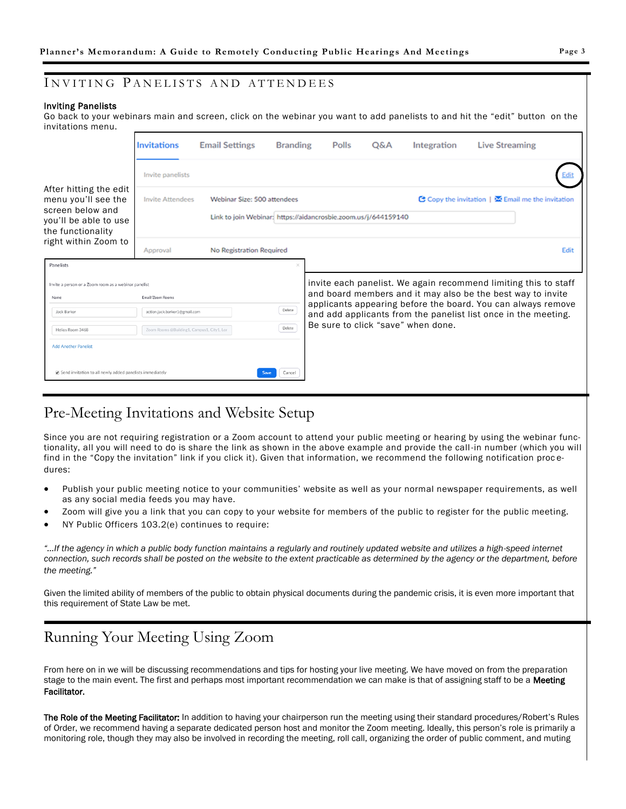## INVITING PANELISTS AND ATTENDEES

#### Inviting Panelists

I

Go back to your webinars main and screen, click on the webinar you want to add panelists to and hit the "edit" button on the invitations menu.

|                                                                                                                 | Invitations                                | <b>Email Settings</b>                                                                                                                              | <b>Branding</b> | Polls                                                                                                                          | Q&A | Integration | <b>Live Streaming</b>                                           |
|-----------------------------------------------------------------------------------------------------------------|--------------------------------------------|----------------------------------------------------------------------------------------------------------------------------------------------------|-----------------|--------------------------------------------------------------------------------------------------------------------------------|-----|-------------|-----------------------------------------------------------------|
|                                                                                                                 | Invite panelists                           |                                                                                                                                                    |                 |                                                                                                                                |     |             |                                                                 |
| After hitting the edit<br>menu you'll see the<br>screen below and<br>you'll be able to use<br>the functionality | <b>Invite Attendees</b>                    | C Copy the invitation   X Email me the invitation<br>Webinar Size: 500 attendees<br>Link to join Webinar: https://aidancrosbie.zoom.us/j/644159140 |                 |                                                                                                                                |     |             |                                                                 |
| right within Zoom to                                                                                            | Approval                                   | No Registration Required                                                                                                                           |                 |                                                                                                                                |     |             | Edit                                                            |
| Panelists                                                                                                       |                                            |                                                                                                                                                    |                 |                                                                                                                                |     |             |                                                                 |
| Invite a person or a Zoom room as a webinar panelist                                                            |                                            |                                                                                                                                                    |                 |                                                                                                                                |     |             | invite each panelist. We again recommend limiting this to staff |
| Name                                                                                                            | Email/Zoom Rooms                           |                                                                                                                                                    |                 |                                                                                                                                |     |             | and board members and it may also be the best way to invite     |
| Jack Barker                                                                                                     | action.jack.barker1@gmail.com              |                                                                                                                                                    | Delete          | applicants appearing before the board. You can always remove<br>and add applicants from the panelist list once in the meeting. |     |             |                                                                 |
| Helios Room 3468                                                                                                | Zoom Rooms @Building1, Campus1, City1, Lor |                                                                                                                                                    | Delete          | Be sure to click "save" when done.                                                                                             |     |             |                                                                 |
| <b>Add Another Panelist</b>                                                                                     |                                            |                                                                                                                                                    |                 |                                                                                                                                |     |             |                                                                 |
| Send invitation to all newly added panelists immediately                                                        |                                            | Save                                                                                                                                               | Cancel          |                                                                                                                                |     |             |                                                                 |

# Pre-Meeting Invitations and Website Setup

Since you are not requiring registration or a Zoom account to attend your public meeting or hearing by using the webinar functionality, all you will need to do is share the link as shown in the above example and provide the call -in number (which you will find in the "Copy the invitation" link if you click it). Given that information, we recommend the following notification proc edures:

- Publish your public meeting notice to your communities' website as well as your normal newspaper requirements, as well as any social media feeds you may have.
- Zoom will give you a link that you can copy to your website for members of the public to register for the public meeting.
- NY Public Officers 103.2(e) continues to require:

*"…If the agency in which a public body function maintains a regularly and routinely updated website and utilizes a high-speed internet connection, such records shall be posted on the website to the extent practicable as determined by the agency or the department, before the meeting."*

Given the limited ability of members of the public to obtain physical documents during the pandemic crisis, it is even more important that this requirement of State Law be met.

# Running Your Meeting Using Zoom

From here on in we will be discussing recommendations and tips for hosting your live meeting. We have moved on from the preparation stage to the main event. The first and perhaps most important recommendation we can make is that of assigning staff to be a Meeting Facilitator.

The Role of the Meeting Facilitator: In addition to having your chairperson run the meeting using their standard procedures/Robert's Rules of Order, we recommend having a separate dedicated person host and monitor the Zoom meeting. Ideally, this person's role is primarily a monitoring role, though they may also be involved in recording the meeting, roll call, organizing the order of public comment, and muting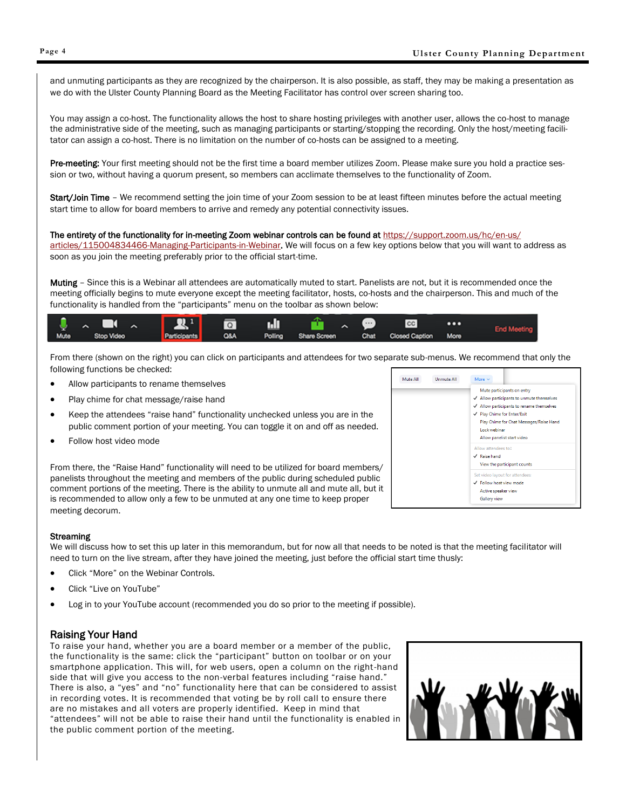and unmuting participants as they are recognized by the chairperson. It is also possible, as staff, they may be making a presentation as we do with the Ulster County Planning Board as the Meeting Facilitator has control over screen sharing too.

You may assign a co-host. The functionality allows the host to share hosting privileges with another user, allows the co-host to manage the administrative side of the meeting, such as managing participants or starting/stopping the recording. Only the host/meeting facilitator can assign a co-host. There is no limitation on the number of co-hosts can be assigned to a meeting.

Pre-meeting: Your first meeting should not be the first time a board member utilizes Zoom. Please make sure you hold a practice session or two, without having a quorum present, so members can acclimate themselves to the functionality of Zoom.

Start/Join Time - We recommend setting the join time of your Zoom session to be at least fifteen minutes before the actual meeting start time to allow for board members to arrive and remedy any potential connectivity issues.

#### The entirety of the functionality for in-meeting Zoom webinar controls can be found at [https://support.zoom.us/hc/en-us/](https://support.zoom.us/hc/en-us/articles/115004834466-Managing-Participants-in-Webinar)

[articles/115004834466-Managing-Participants-in-Webinar.](https://support.zoom.us/hc/en-us/articles/115004834466-Managing-Participants-in-Webinar) We will focus on a few key options below that you will want to address as soon as you join the meeting preferably prior to the official start-time.

Muting – Since this is a Webinar all attendees are automatically muted to start. Panelists are not, but it is recommended once the meeting officially begins to mute everyone except the meeting facilitator, hosts, co-hosts and the chairperson. This and much of the functionality is handled from the "participants" menu on the toolbar as shown below:



From there (shown on the right) you can click on participants and attendees for two separate sub-menus. We recommend that only the following functions be checked:

- Allow participants to rename themselves
- Play chime for chat message/raise hand
- Keep the attendees "raise hand" functionality unchecked unless you are in the public comment portion of your meeting. You can toggle it on and off as needed.
- Follow host video mode

From there, the "Raise Hand" functionality will need to be utilized for board members/ panelists throughout the meeting and members of the public during scheduled public comment portions of the meeting. There is the ability to unmute all and mute all, but it is recommended to allow only a few to be unmuted at any one time to keep proper meeting decorum.



#### **Streaming**

We will discuss how to set this up later in this memorandum, but for now all that needs to be noted is that the meeting facilitator will need to turn on the live stream, after they have joined the meeting, just before the official start time thusly:

- Click "More" on the Webinar Controls.
- Click "Live on YouTube"
- Log in to your YouTube account (recommended you do so prior to the meeting if possible).

## Raising Your Hand

To raise your hand, whether you are a board member or a member of the public, the functionality is the same: click the "participant" button on toolbar or on your smartphone application. This will, for web users, open a column on the right-hand side that will give you access to the non-verbal features including "raise hand." There is also, a "yes" and "no" functionality here that can be considered to assist in recording votes. It is recommended that voting be by roll call to ensure there are no mistakes and all voters are properly identified. Keep in mind that "attendees" will not be able to raise their hand until the functionality is enabled in the public comment portion of the meeting.

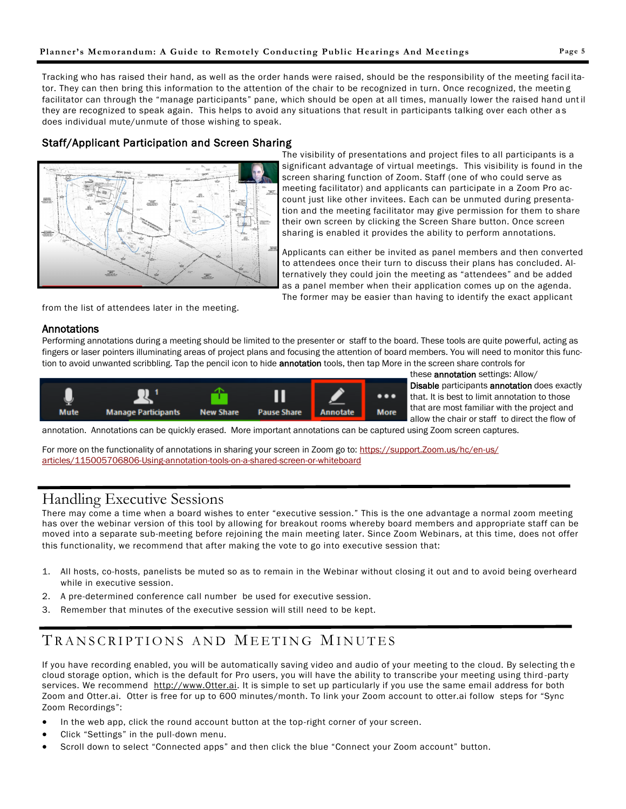Tracking who has raised their hand, as well as the order hands were raised, should be the responsibility of the meeting facil itator. They can then bring this information to the attention of the chair to be recognized in turn. Once recognized, the meetin g facilitator can through the "manage participants" pane, which should be open at all times, manually lower the raised hand unt il they are recognized to speak again. This helps to avoid any situations that result in participants talking over each other as does individual mute/unmute of those wishing to speak.

## Staff/Applicant Participation and Screen Sharing



The visibility of presentations and project files to all participants is a significant advantage of virtual meetings. This visibility is found in the screen sharing function of Zoom. Staff (one of who could serve as meeting facilitator) and applicants can participate in a Zoom Pro account just like other invitees. Each can be unmuted during presentation and the meeting facilitator may give permission for them to share their own screen by clicking the Screen Share button. Once screen sharing is enabled it provides the ability to perform annotations.

Applicants can either be invited as panel members and then converted to attendees once their turn to discuss their plans has concluded. Alternatively they could join the meeting as "attendees" and be added as a panel member when their application comes up on the agenda. The former may be easier than having to identify the exact applicant

from the list of attendees later in the meeting.

## Annotations

l

Performing annotations during a meeting should be limited to the presenter or staff to the board. These tools are quite powerful, acting as fingers or laser pointers illuminating areas of project plans and focusing the attention of board members. You will need to monitor this function to avoid unwanted scribbling. Tap the pencil icon to hide **annotation** tools, then tap More in the screen share controls for



these **annotation** settings: Allow/ Disable participants annotation does exactly that. It is best to limit annotation to those that are most familiar with the project and allow the chair or staff to direct the flow of

annotation. Annotations can be quickly erased. More important annotations can be captured using Zoom screen captures.

For more on the functionality of annotations in sharing your screen in Zoom go to: [https://support.Zoom.us/hc/en-us/](https://support.zoom.us/hc/en-us/articles/115005706806-Using-annotation-tools-on-a-shared-screen-or-whiteboard) [articles/115005706806-Using-annotation-tools-on-a-shared-screen-or-whiteboard](https://support.zoom.us/hc/en-us/articles/115005706806-Using-annotation-tools-on-a-shared-screen-or-whiteboard)

# Handling Executive Sessions

There may come a time when a board wishes to enter "executive session." This is the one advantage a normal zoom meeting has over the webinar version of this tool by allowing for breakout rooms whereby board members and appropriate staff can be moved into a separate sub-meeting before rejoining the main meeting later. Since Zoom Webinars, at this time, does not offer this functionality, we recommend that after making the vote to go into executive session that:

- 1. All hosts, co-hosts, panelists be muted so as to remain in the Webinar without closing it out and to avoid being overheard while in executive session.
- 2. A pre-determined conference call number be used for executive session.
- 3. Remember that minutes of the executive session will still need to be kept.

# TRANSCRIPTIONS AND MEETING MINUTES

If you have recording enabled, you will be automatically saving video and audio of your meeting to the cloud. By selecting th e cloud storage option, which is the default for Pro users, you will have the ability to transcribe your meeting using third -party services. We recommend [http://www.Otter.ai.](http://www.Otter.ai) It is simple to set up particularly if you use the same email address for both Zoom and Otter.ai. Otter is free for up to 600 minutes/month. To link your Zoom account to otter.ai follow steps for "Sync Zoom Recordings":

- In the web app, click the round account button at the top-right corner of your screen.
- Click "Settings" in the pull-down menu.
- Scroll down to select "Connected apps" and then click the blue "Connect your Zoom account" button.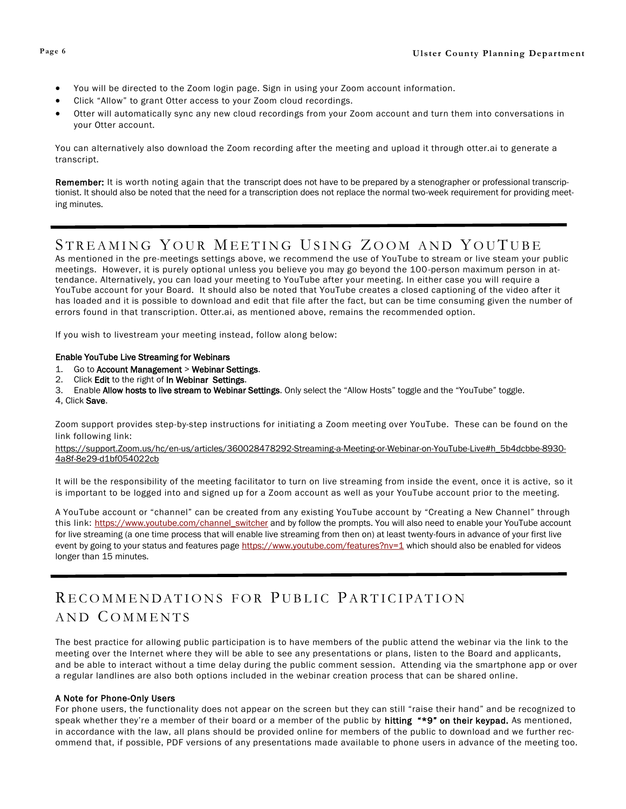- You will be directed to the Zoom login page. Sign in using your Zoom account information.
- Click "Allow" to grant Otter access to your Zoom cloud recordings.
- Otter will automatically sync any new cloud recordings from your Zoom account and turn them into conversations in your Otter account.

You can alternatively also download the Zoom recording after the meeting and upload it through otter.ai to generate a transcript.

Remember: It is worth noting again that the transcript does not have to be prepared by a stenographer or professional transcriptionist. It should also be noted that the need for a transcription does not replace the normal two-week requirement for providing meeting minutes.

## STREAMING YOUR MEETING USING ZOOM AND YOUTUBE

As mentioned in the pre-meetings settings above, we recommend the use of YouTube to stream or live steam your public meetings. However, it is purely optional unless you believe you may go beyond the 100-person maximum person in attendance. Alternatively, you can load your meeting to YouTube after your meeting. In either case you will require a YouTube account for your Board. It should also be noted that YouTube creates a closed captioning of the video after it has loaded and it is possible to download and edit that file after the fact, but can be time consuming given the number of errors found in that transcription. Otter.ai, as mentioned above, remains the recommended option.

If you wish to livestream your meeting instead, follow along below:

## Enable YouTube Live Streaming for Webinars

- 1. Go to Account Management > Webinar Settings.
- 2. Click Edit to the right of In Webinar Settings.
- 3. Enable Allow hosts to live stream to Webinar Settings. Only select the "Allow Hosts" toggle and the "YouTube" toggle.
- 4, Click Save.

Zoom support provides step-by-step instructions for initiating a Zoom meeting over YouTube. These can be found on the link following link:

[https://support.Zoom.us/hc/en-us/articles/360028478292-Streaming-a-Meeting-or-Webinar-on-YouTube-Live#h\\_5b4dcbbe-8930-](https://support.zoom.us/hc/en-us/articles/360028478292-Streaming-a-Meeting-or-Webinar-on-YouTube-Live#h_5b4dcbbe-8930-4a8f-8e29-d1bf054022cb) [4a8f-8e29-d1bf054022cb](https://support.zoom.us/hc/en-us/articles/360028478292-Streaming-a-Meeting-or-Webinar-on-YouTube-Live#h_5b4dcbbe-8930-4a8f-8e29-d1bf054022cb)

It will be the responsibility of the meeting facilitator to turn on live streaming from inside the event, once it is active, so it is important to be logged into and signed up for a Zoom account as well as your YouTube account prior to the meeting.

A YouTube account or "channel" can be created from any existing YouTube account by "Creating a New Channel" through this link: [https://www.youtube.com/channel\\_switcher](https://www.youtube.com/channel_switcher) and by follow the prompts. You will also need to enable your YouTube account for live streaming (a one time process that will enable live streaming from then on) at least twenty-fours in advance of your first live event by going to your status and features page <https://www.youtube.com/features?nv=1> which should also be enabled for videos longer than 15 minutes.

# RECOMMENDATIONS FOR PUBLIC PARTICIPATION AND COMMENTS

The best practice for allowing public participation is to have members of the public attend the webinar via the link to the meeting over the Internet where they will be able to see any presentations or plans, listen to the Board and applicants, and be able to interact without a time delay during the public comment session. Attending via the smartphone app or over a regular landlines are also both options included in the webinar creation process that can be shared online.

## A Note for Phone-Only Users

For phone users, the functionality does not appear on the screen but they can still "raise their hand" and be recognized to speak whether they're a member of their board or a member of the public by **hitting "\*9" on their keypad.** As mentioned, in accordance with the law, all plans should be provided online for members of the public to download and we further recommend that, if possible, PDF versions of any presentations made available to phone users in advance of the meeting too.

l